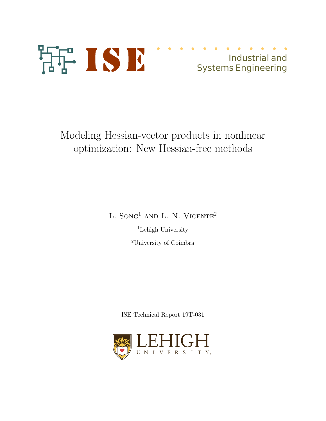

# Industrial and Systems Engineering

Modeling Hessian-vector products in nonlinear optimization: New Hessian-free methods

L. SONG<sup>1</sup> AND L. N. VICENTE<sup>2</sup>

<sup>1</sup>Lehigh University <sup>2</sup>University of Coimbra

ISE Technical Report 19T-031

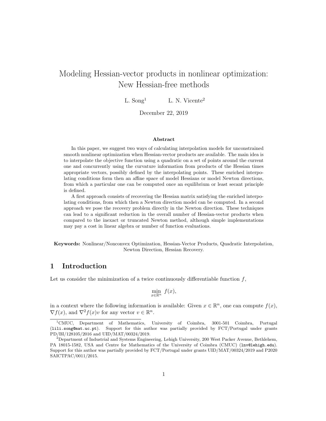## Modeling Hessian-vector products in nonlinear optimization: New Hessian-free methods

L. Song<sup>1</sup> L. N. Vicente<sup>2</sup>

December 22, 2019

#### Abstract

In this paper, we suggest two ways of calculating interpolation models for unconstrained smooth nonlinear optimization when Hessian-vector products are available. The main idea is to interpolate the objective function using a quadratic on a set of points around the current one and concurrently using the curvature information from products of the Hessian times appropriate vectors, possibly defined by the interpolating points. These enriched interpolating conditions form then an affine space of model Hessians or model Newton directions, from which a particular one can be computed once an equilibrium or least secant principle is defined.

A first approach consists of recovering the Hessian matrix satisfying the enriched interpolating conditions, from which then a Newton direction model can be computed. In a second approach we pose the recovery problem directly in the Newton direction. These techniques can lead to a significant reduction in the overall number of Hessian-vector products when compared to the inexact or truncated Newton method, although simple implementations may pay a cost in linear algebra or number of function evaluations.

Keywords: Nonlinear/Nonconvex Optimization, Hessian-Vector Products, Quadratic Interpolation, Newton Direction, Hessian Recovery.

## 1 Introduction

Let us consider the minimization of a twice continuously differentiable function  $f$ ,

$$
\min_{x \in \mathbb{R}^n} f(x),
$$

in a context where the following information is available: Given  $x \in \mathbb{R}^n$ , one can compute  $f(x)$ ,  $\nabla f(x)$ , and  $\nabla^2 f(x)v$  for any vector  $v \in \mathbb{R}^n$ .

<sup>1</sup>CMUC, Department of Mathematics, University of Coimbra, 3001-501 Coimbra, Portugal (lili.song@mat.uc.pt). Support for this author was partially provided by FCT/Portugal under grants PD/BI/128105/2016 and UID/MAT/00324/2019.

 $2D$ epartment of Industrial and Systems Engineering, Lehigh University, 200 West Packer Avenue, Bethlehem, PA 18015-1582, USA and Centre for Mathematics of the University of Coimbra (CMUC) (lnv@lehigh.edu). Support for this author was partially provided by FCT/Portugal under grants UID/MAT/00324/2019 and P2020 SAICTPAC/0011/2015.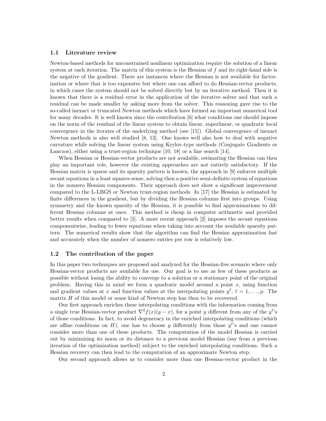#### 1.1 Literature review

Newton-based methods for unconstrained nonlinear optimization require the solution of a linear system at each iteration. The matrix of this system is the Hessian of f and its right-hand side is the negative of the gradient. There are instances where the Hessian is not available for factorization or where that is too expensive but where one can afford to do Hessian-vector products, in which cases the system should not be solved directly but by an iterative method. Then it is known that there is a residual error in the application of the iterative solver and that such a residual can be made smaller by asking more from the solver. This reasoning gave rise to the so-called inexact or truncated Newton methods which have formed an important numerical tool for many decades. It is well known since the contribution [6] what conditions one should impose on the norm of the residual of the linear system to obtain linear, superlinear, or quadratic local convergence in the iterates of the underlying method (see [15]). Global convergence of inexact Newton methods is also well studied [8, 13]. One knows well also how to deal with negative curvature while solving the linear system using Krylov-type methods (Conjugate Gradients or Lanczos), either using a trust-region technique [10, 18] or a line search [14].

When Hessian or Hessian-vector products are not available, estimating the Hessian can then play an important role, however the existing approaches are not entirely satisfactory. If the Hessian matrix is sparse and its sparsity pattern is known, the approach in [9] enforces multiple secant equations in a least squares sense, solving then a positive semi-definite system of equations in the nonzero Hessian components. Their approach does not show a significant improvement compared to the L-LBGS or Newton trust-region methods. In [17] the Hessian is estimated by finite differences in the gradient, but by dividing the Hessian columns first into groups. Using symmetry and the known sparsity of the Hessian, it is possible to find approximations to different Hessian columns at once. This method is cheap in computer arithmetic and provided better results when compared to [5]. A more recent approach [2] imposes the secant equations componentwise, leading to fewer equations when taking into account the available sparsity pattern. The numerical results show that the algorithm can find the Hessian approximation fast and accurately when the number of nonzero entries per row is relatively low.

### 1.2 The contribution of the paper

In this paper two techniques are proposed and analyzed for the Hessian-free scenario where only Hessian-vector products are available for use. Our goal is to use as few of these products as possible without losing the ability to converge to a solution or a stationary point of the original problem. Having this in mind we form a quadratic model around a point  $x$ , using function and gradient values at x and function values at the interpolating points  $y^{\ell}$ ,  $\ell = 1, \ldots, p$ . The matrix  $H$  of this model or some kind of Newton step has then to be recovered.

Our first approach enriches these interpolating conditions with the information coming from a single true Hessian-vector product  $\nabla^2 f(x)(y-x)$ , for a point y different from any of the  $y^{\ell}$ 's of those conditions. In fact, to avoid degeneracy in the enriched interpolating conditions (which are affine conditions on H), one has to choose y differently from those  $y^{\ell}$ 's and one cannot consider more than one of these products. The computation of the model Hessian is carried out by minimizing its norm or its distance to a previous model Hessian (say from a previous iteration of the optimization method) subject to the enriched interpolating conditions. Such a Hessian recovery can then lead to the computation of an approximate Newton step.

Our second approach allows us to consider more than one Hessian-vector product in the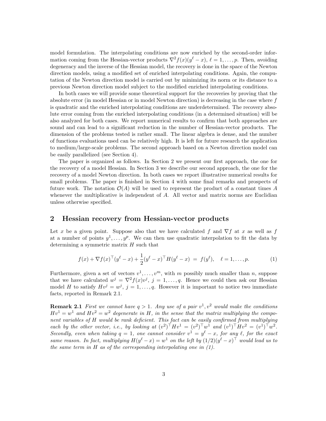model formulation. The interpolating conditions are now enriched by the second-order information coming from the Hessian-vector products  $\nabla^2 f(x)(y^\ell - x)$ ,  $\ell = 1, \ldots, p$ . Then, avoiding degeneracy and the inverse of the Hessian model, the recovery is done in the space of the Newton direction models, using a modified set of enriched interpolating conditions. Again, the computation of the Newton direction model is carried out by minimizing its norm or its distance to a previous Newton direction model subject to the modified enriched interpolating conditions.

In both cases we will provide some theoretical support for the recoveries by proving that the absolute error (in model Hessian or in model Newton direction) is decreasing in the case where f is quadratic and the enriched interpolating conditions are underdetermined. The recovery absolute error coming from the enriched interpolating conditions (in a determined situation) will be also analyzed for both cases. We report numerical results to confirm that both approaches are sound and can lead to a significant reduction in the number of Hessian-vector products. The dimension of the problems tested is rather small. The linear algebra is dense, and the number of functions evaluations used can be relatively high. It is left for future research the application to medium/large-scale problems. The second approach based on a Newton direction model can be easily parallelized (see Section 4).

The paper is organized as follows. In Section 2 we present our first approach, the one for the recovery of a model Hessian. In Section 3 we describe our second approach, the one for the recovery of a model Newton direction. In both cases we report illustrative numerical results for small problems. The paper is finished in Section 4 with some final remarks and prospects of future work. The notation  $\mathcal{O}(A)$  will be used to represent the product of a constant times A whenever the multiplicative is independent of A. All vector and matrix norms are Euclidian unless otherwise specified.

## 2 Hessian recovery from Hessian-vector products

Let x be a given point. Suppose also that we have calculated f and  $\nabla f$  at x as well as f at a number of points  $y^1, \ldots, y^p$ . We can then use quadratic interpolation to fit the data by determining a symmetric matrix  $H$  such that

$$
f(x) + \nabla f(x)^\top (y^\ell - x) + \frac{1}{2} (y^\ell - x)^\top H (y^\ell - x) = f(y^\ell), \quad \ell = 1, \dots, p. \tag{1}
$$

Furthermore, given a set of vectors  $v^1, \ldots, v^m$ , with m possibly much smaller than n, suppose that we have calculated  $w^j = \nabla^2 f(x)v^j$ ,  $j = 1, ..., q$ . Hence we could then ask our Hessian model H to satisfy  $Hv^j = w^j$ ,  $j = 1, \ldots, q$ . However it is important to notice two immediate facts, reported in Remark 2.1.

**Remark 2.1** First we cannot have  $q > 1$ . Any use of a pair  $v^1, v^2$  would make the conditions  $Hv^1 = w^1$  and  $Hv^2 = w^2$  degenerate in H, in the sense that the matrix multiplying the component variables of H would be rank deficient. This fact can be easily confirmed from multiplying each by the other vector, i.e., by looking at  $(v^2)^{\top}Hv^1 = (v^2)^{\top}w^1$  and  $(v^1)^{\top}Hv^2 = (v^1)^{\top}w^2$ . Secondly, even when taking  $q = 1$ , one cannot consider  $v^1 = y^{\ell} - x$ , for any  $\ell$ , for the exact same reason. In fact, multiplying  $H(y^{\ell} - x) = w^1$  on the left by  $(1/2)(y^{\ell} - x)^{\top}$  would lead us to the same term in  $H$  as of the corresponding interpolating one in  $(1)$ .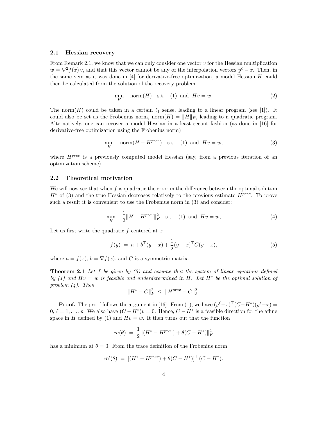#### 2.1 Hessian recovery

From Remark 2.1, we know that we can only consider one vector  $v$  for the Hessian multiplication  $w = \nabla^2 f(x) v$ , and that this vector cannot be any of the interpolation vectors  $y^{\ell} - x$ . Then, in the same vein as it was done in [4] for derivative-free optimization, a model Hessian H could then be calculated from the solution of the recovery problem

$$
\min_{H} \quad \text{norm}(H) \quad \text{s.t.} \quad (1) \quad \text{and} \quad Hv = w. \tag{2}
$$

The norm $(H)$  could be taken in a certain  $\ell_1$  sense, leading to a linear program (see [1]). It could also be set as the Frobenius norm, norm $(H) = ||H||_F$ , leading to a quadratic program. Alternatively, one can recover a model Hessian in a least secant fashion (as done in [16] for derivative-free optimization using the Frobenius norm)

$$
\min_{H} \quad \text{norm}(H - H^{prev}) \quad \text{s.t.} \quad (1) \quad \text{and} \quad Hv = w,\tag{3}
$$

where  $H^{prev}$  is a previously computed model Hessian (say, from a previous iteration of an optimization scheme).

### 2.2 Theoretical motivation

We will now see that when f is quadratic the error in the difference between the optimal solution  $H^*$  of (3) and the true Hessian decreases relatively to the previous estimate  $H^{prev}$ . To prove such a result it is convenient to use the Frobenius norm in (3) and consider:

$$
\min_{H} \quad \frac{1}{2} \|H - H^{prev}\|_F^2 \quad \text{s.t.} \quad (1) \text{ and } Hv = w,
$$
\n(4)

Let us first write the quadratic  $f$  centered at  $x$ 

$$
f(y) = a + b^{\top}(y - x) + \frac{1}{2}(y - x)^{\top}C(y - x),
$$
\n(5)

where  $a = f(x)$ ,  $b = \nabla f(x)$ , and C is a symmetric matrix.

**Theorem 2.1** Let f be given by  $(5)$  and assume that the system of linear equations defined by (1) and  $Hv = w$  is feasible and underdetermined in H. Let  $H^*$  be the optimal solution of problem (4). Then

$$
||H^* - C||_F^2 \le ||H^{prev} - C||_F^2.
$$

**Proof.** The proof follows the argument in [16]. From (1), we have  $(y^{\ell}-x)^\top (C-H^*)(y^{\ell}-x) =$  $0, \ell = 1, \ldots, p$ . We also have  $(C - H^*)v = 0$ . Hence,  $C - H^*$  is a feasible direction for the affine space in H defined by (1) and  $Hv = w$ . It then turns out that the function

$$
m(\theta) = \frac{1}{2} ||(H^* - H^{prev}) + \theta (C - H^*)||_F^2
$$

has a minimum at  $\theta = 0$ . From the trace definition of the Frobenius norm

$$
m'(\theta) = [(H^* - H^{prev}) + \theta(C - H^*)]^\top (C - H^*).
$$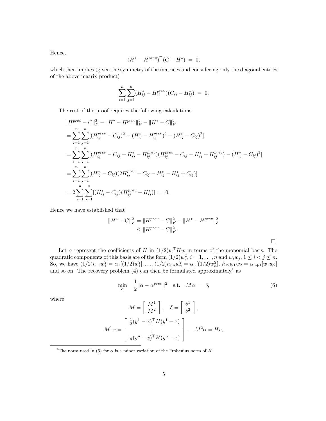Hence,

$$
(H^* - H^{prev})^\top (C - H^*) = 0,
$$

which then implies (given the symmetry of the matrices and considering only the diagonal entries of the above matrix product)

$$
\sum_{i=1}^{n} \sum_{j=1}^{n} (H_{ij}^{*} - H_{ij}^{prev})(C_{ij} - H_{ij}^{*}) = 0.
$$

The rest of the proof requires the following calculations:

$$
||H^{prev} - C||_F^2 - ||H^* - H^{prev}||_F^2 - ||H^* - C||_F^2
$$
  
\n
$$
= \sum_{i=1}^n \sum_{j=1}^n [(H_{ij}^{prev} - C_{ij})^2 - (H_{ij}^* - H_{ij}^{prev})^2 - (H_{ij}^* - C_{ij})^2]
$$
  
\n
$$
= \sum_{i=1}^n \sum_{j=1}^n [(H_{ij}^{prev} - C_{ij} + H_{ij}^* - H_{ij}^{prev})(H_{ij}^{prev} - C_{ij} - H_{ij}^* + H_{ij}^{prev}) - (H_{ij}^* - C_{ij})^2]
$$
  
\n
$$
= \sum_{i=1}^n \sum_{j=1}^n [(H_{ij}^* - C_{ij})(2H_{ij}^{prev} - C_{ij} - H_{ij}^* - H_{ij}^* + C_{ij})]
$$
  
\n
$$
= 2 \sum_{i=1}^n \sum_{j=1}^n [(H_{ij}^* - C_{ij})(H_{ij}^{prev} - H_{ij}^*)] = 0.
$$

Hence we have established that

$$
||H^* - C||_F^2 = ||H^{prev} - C||_F^2 - ||H^* - H^{prev}||_F^2
$$
  
\n
$$
\leq ||H^{prev} - C||_F^2.
$$

Let  $\alpha$  represent the coefficients of H in  $(1/2)w<sup>+</sup>Hw$  in terms of the monomial basis. The quadratic components of this basis are of the form  $(1/2)w_i^2$ ,  $i = 1, \ldots, n$  and  $w_iw_j$ ,  $1 \le i < j \le n$ . So, we have  $(1/2)h_{11}w_1^2 = \alpha_1[(1/2)w_1^2], \ldots, (1/2)h_{nn}w_n^2 = \alpha_n[(1/2)w_n^2], h_{12}w_1w_2 = \alpha_{n+1}[w_1w_2]$ and so on. The recovery problem  $(4)$  can then be formulated approximately<sup>1</sup> as

> $\min_{\alpha}$ 1  $\frac{1}{2} \|\alpha - \alpha^{prev}\|^2$  s.t.  $M\alpha = \delta,$  (6)

 $\Box$ 

where

$$
M = \begin{bmatrix} M^1 \\ M^2 \end{bmatrix}, \quad \delta = \begin{bmatrix} \delta^1 \\ \delta^2 \end{bmatrix},
$$

$$
M^1 \alpha = \begin{bmatrix} \frac{1}{2} (y^1 - x)^{\top} H (y^1 - x) \\ \vdots \\ \frac{1}{2} (y^p - x)^{\top} H (y^p - x) \end{bmatrix}, \quad M^2 \alpha = Hv,
$$

<sup>&</sup>lt;sup>1</sup>The norm used in (6) for  $\alpha$  is a minor variation of the Frobenius norm of H.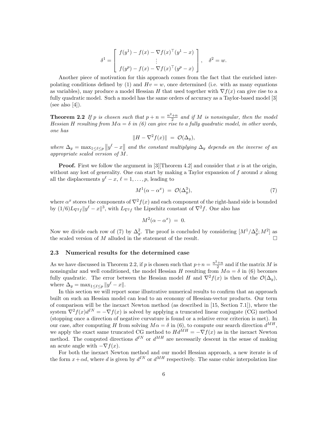$$
\delta^{1} = \begin{bmatrix} f(y^{1}) - f(x) - \nabla f(x)^{\top}(y^{1} - x) \\ \vdots \\ f(y^{p}) - f(x) - \nabla f(x)^{\top}(y^{p} - x) \end{bmatrix}, \quad \delta^{2} = w.
$$

Another piece of motivation for this approach comes from the fact that the enriched interpolating conditions defined by (1) and  $Hv = w$ , once determined (i.e. with as many equations as variables), may produce a model Hessian H that used together with  $\nabla f(x)$  can give rise to a fully quadratic model. Such a model has the same orders of accuracy as a Taylor-based model [3] (see also  $[4]$ ).

**Theorem 2.2** If p is chosen such that  $p + n = \frac{n^2+n}{2}$  and if M is nonsingular, then the model Hessian H resulting from  $M\alpha = \delta$  in (6) can give rise to a fully quadratic model, in other words, one has

$$
||H - \nabla^2 f(x)|| = \mathcal{O}(\Delta_y),
$$

where  $\Delta_y = \max_{1 \leq \ell \leq p} ||y^{\ell} - x||$  and the constant multiplying  $\Delta_y$  depends on the inverse of an appropriate scaled version of M.

**Proof.** First we follow the argument in [3] Theorem 4.2] and consider that x is at the origin, without any lost of generality. One can start by making a Taylor expansion of  $f$  around  $x$  along all the displacements  $y^{\ell} - x$ ,  $\ell = 1, \ldots, p$ , leading to

$$
M^{1}(\alpha - \alpha^{x}) = \mathcal{O}(\Delta_{y}^{3}), \qquad (7)
$$

where  $\alpha^x$  stores the components of  $\nabla^2 f(x)$  and each component of the right-hand side is bounded by  $(1/6)L_{\nabla^2 f}||y^{\ell}-x||^3$ , with  $L_{\nabla^2 f}$  the Lipschitz constant of  $\nabla^2 f$ . One also has

$$
M^2(\alpha - \alpha^x) = 0.
$$

Now we divide each row of (7) by  $\Delta_y^2$ . The proof is concluded by considering  $[M^1/\Delta_y^2; M^2]$  as the scaled version of  $M$  alluded in the statement of the result.

### 2.3 Numerical results for the determined case

As we have discussed in Theorem 2.2, if p is chosen such that  $p+n = \frac{n^2+n}{2}$  and if the matrix M is nonsingular and well conditioned, the model Hessian H resulting from  $M\alpha = \delta$  in (6) becomes fully quadratic. The error between the Hessian model H and  $\nabla^2 f(x)$  is then of the  $\mathcal{O}(\Delta_y)$ , where  $\Delta_y = \max_{1 \leq \ell \leq p} ||y^{\ell} - x||.$ 

In this section we will report some illustrative numerical results to confirm that an approach built on such an Hessian model can lead to an economy of Hessian-vector products. Our term of comparison will be the inexact Newton method (as described in [15, Section 7.1]), where the system  $\nabla^2 f(x)d^{IN} = -\nabla f(x)$  is solved by applying a truncated linear conjugate (CG) method (stopping once a direction of negative curvature is found or a relative error criterion is met). In our case, after computing H from solving  $M\alpha = \delta$  in (6), to compute our search direction  $d^{MH}$ . we apply the exact same truncated CG method to  $H\ddot{d}^{\dot{M}H} = -\nabla f(x)$  as in the inexact Newton method. The computed directions  $d^{IN}$  or  $d^{MH}$  are necessarily descent in the sense of making an acute angle with  $-\nabla f(x)$ .

For both the inexact Newton method and our model Hessian approach, a new iterate is of the form  $x + \alpha d$ , where d is given by  $d^{IN}$  or  $d^{MH}$  respectively. The same cubic interpolation line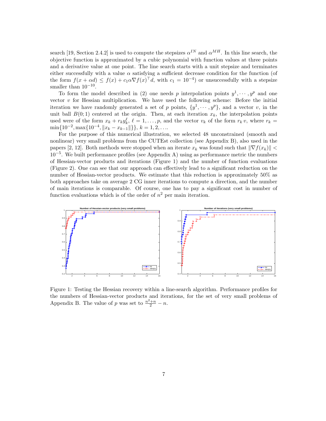search [19, Section 2.4.2] is used to compute the stepsizes  $\alpha^{IN}$  and  $\alpha^{MH}$ . In this line search, the objective function is approximated by a cubic polynomial with function values at three points and a derivative value at one point. The line search starts with a unit stepsize and terminates either successfully with a value  $\alpha$  satisfying a sufficient decrease condition for the function (of the form  $f(x + \alpha d) \leq f(x) + c_1 \alpha \nabla f(x)^\top d$ , with  $c_1 = 10^{-4}$  or unsuccessfully with a stepsize smaller than  $10^{-10}$ .

To form the model described in (2) one needs p interpolation points  $y^1, \dots, y^p$  and one vector  $v$  for Hessian multiplication. We have used the following scheme: Before the initial iteration we have randomly generated a set of p points,  $\{y^1, \dots, y^p\}$ , and a vector v, in the unit ball  $B(0, 1)$  centered at the origin. Then, at each iteration  $x_k$ , the interpolation points used were of the form  $x_k + r_k y_k^{\ell}$ ,  $\ell = 1, \ldots, p$ , and the vector  $v_k$  of the form  $r_k v$ , where  $r_k =$  $\min\{10^{-2}, \max\{10^{-4}, ||x_k - x_{k-1}||\}\}, k = 1, 2, \ldots$ 

For the purpose of this numerical illustration, we selected 48 unconstrained (smooth and nonlinear) very small problems from the CUTEst collection (see Appendix B), also used in the papers [2, 12]. Both methods were stopped when an iterate  $x_k$  was found such that  $\|\nabla f(x_k)\|$  < 10−<sup>5</sup> . We built performance profiles (see Appendix A) using as performance metric the numbers of Hessian-vector products and iterations (Figure 1) and the number of function evaluations (Figure 2). One can see that our approach can effectively lead to a significant reduction on the number of Hessian-vector products. We estimate that this reduction is approximately 50% as both approaches take on average 2 CG inner iterations to compute a direction, and the number of main iterations is comparable. Of course, one has to pay a significant cost in number of function evaluations which is of the order of  $n^2$  per main iteration.



Figure 1: Testing the Hessian recovery within a line-search algorithm. Performance profiles for the numbers of Hessian-vector products and iterations, for the set of very small problems of Appendix B. The value of p was set to  $\frac{n^2+n}{2} - n$ .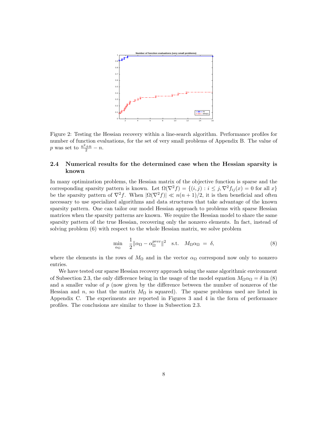

Figure 2: Testing the Hessian recovery within a line-search algorithm. Performance profiles for number of function evaluations, for the set of very small problems of Appendix B. The value of p was set to  $\frac{n^2+n}{2}-n$ .

## 2.4 Numerical results for the determined case when the Hessian sparsity is known

In many optimization problems, the Hessian matrix of the objective function is sparse and the corresponding sparsity pattern is known. Let  $\Omega(\nabla^2 f) = \{(i, j) : i \leq j, \nabla^2 f_{ij}(x) = 0 \text{ for all } x\}$ be the sparsity pattern of  $\nabla^2 f$ . When  $|\Omega(\nabla^2 f)| \ll n(n+1)/2$ , it is then beneficial and often necessary to use specialized algorithms and data structures that take advantage of the known sparsity pattern. One can tailor our model Hessian approach to problems with sparse Hessian matrices when the sparsity patterns are known. We require the Hessian model to share the same sparsity pattern of the true Hessian, recovering only the nonzero elements. In fact, instead of solving problem (6) with respect to the whole Hessian matrix, we solve problem

$$
\min_{\alpha_{\Omega}} \quad \frac{1}{2} \|\alpha_{\Omega} - \alpha_{\Omega}^{prev}\|^2 \quad \text{s.t.} \quad M_{\Omega}\alpha_{\Omega} = \delta,
$$
\n(8)

where the elements in the rows of  $M_{\Omega}$  and in the vector  $\alpha_{\Omega}$  correspond now only to nonzero entries.

We have tested our sparse Hessian recovery approach using the same algorithmic environment of Subsection 2.3, the only difference being in the usage of the model equation  $M_{\Omega} \alpha_{\Omega} = \delta$  in (8) and a smaller value of  $p$  (now given by the difference between the number of nonzeros of the Hessian and n, so that the matrix  $M_{\Omega}$  is squared). The sparse problems used are listed in Appendix C. The experiments are reported in Figures 3 and 4 in the form of performance profiles. The conclusions are similar to those in Subsection 2.3.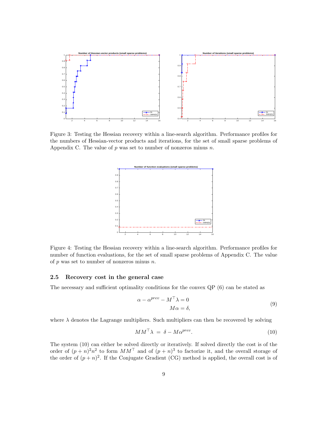

Figure 3: Testing the Hessian recovery within a line-search algorithm. Performance profiles for the numbers of Hessian-vector products and iterations, for the set of small sparse problems of Appendix C. The value of  $p$  was set to number of nonzeros minus  $n$ .



Figure 4: Testing the Hessian recovery within a line-search algorithm. Performance profiles for number of function evaluations, for the set of small sparse problems of Appendix C. The value of  $p$  was set to number of nonzeros minus  $n$ .

#### 2.5 Recovery cost in the general case

The necessary and sufficient optimality conditions for the convex QP (6) can be stated as

$$
\alpha - \alpha^{prev} - M^{\top} \lambda = 0
$$
  

$$
M\alpha = \delta,
$$
 (9)

where  $\lambda$  denotes the Lagrange multipliers. Such multipliers can then be recovered by solving

$$
MM^{\top}\lambda = \delta - M\alpha^{prev}.\tag{10}
$$

The system (10) can either be solved directly or iteratively. If solved directly the cost is of the order of  $(p+n)^2n^2$  to form  $MM^{\top}$  and of  $(p+n)^3$  to factorize it, and the overall storage of the order of  $(p+n)^2$ . If the Conjugate Gradient (CG) method is applied, the overall cost is of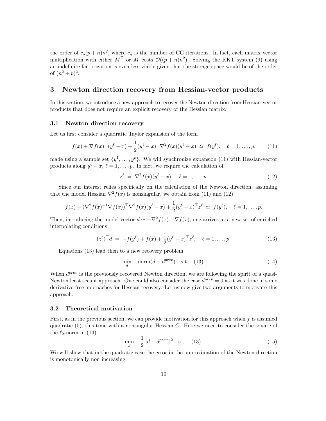the order of  $c_g(p+n)n^2$ , where  $c_g$  is the number of CG iterations. In fact, each matrix vector multiplication with either  $M^{\top}$  or M costs  $\mathcal{O}((p+n)n^2)$ . Solving the KKT system (9) using an indefinite factorization is even less viable given that the storage space would be of the order of  $(n^2 + p)^2$ .

## 3 Newton direction recovery from Hessian-vector products

In this section, we introduce a new approach to recover the Newton direction from Hessian-vector products that does not require an explicit recovery of the Hessian matrix.

### 3.1 Newton direction recovery

Let us first consider a quadratic Taylor expansion of the form

$$
f(x) + \nabla f(x)^\top (y^\ell - x) + \frac{1}{2} (y^\ell - x)^\top \nabla^2 f(x) (y^\ell - x) \simeq f(y^\ell), \quad \ell = 1, \dots, p,
$$
 (11)

made using a sample set  $\{y^1, \ldots, y^p\}$ . We will synchronize expansion (11) with Hessian-vector products along  $y^{\ell} - x$ ,  $\ell = 1, ..., p$ . In fact, we require the calculation of

$$
z^{\ell} = \nabla^2 f(x) (y^{\ell} - x), \quad \ell = 1, \dots, p. \tag{12}
$$

Since our interest relies specifically on the calculation of the Newton direction, assuming that the model Hessian  $\nabla^2 f(x)$  is nonsingular, we obtain from (11) and (12)

$$
f(x) + (\nabla^2 f(x)^{-1} \nabla f(x))^{\top} \nabla^2 f(x) (y^{\ell} - x) + \frac{1}{2} (y^{\ell} - x)^{\top} z^{\ell} \simeq f(y^{\ell}), \quad \ell = 1, \ldots, p.
$$

Then, introducing the model vector  $d \simeq -\nabla^2 f(x)^{-1} \nabla f(x)$ , one arrives at a new set of enriched interpolating conditions

$$
(z^{\ell})^{\top} d = -f(y^{\ell}) + f(x) + \frac{1}{2}(y^{\ell} - x)^{\top} z^{\ell}, \quad \ell = 1, ..., p.
$$
 (13)

Equations (13) lead then to a new recovery problem

$$
\min_{d} \quad \text{norm}(d - d^{prev}) \quad \text{s.t.} \quad (13). \tag{14}
$$

When  $d^{prev}$  is the previously recovered Newton direction, we are following the spirit of a quasi-Newton least secant approach. One could also consider the case  $d^{prev} = 0$  as it was done in some derivative-free approaches for Hessian recovery. Let us now give two arguments to motivate this approach.

#### 3.2 Theoretical motivation

First, as in the previous section, we can provide motivation for this approach when  $f$  is assumed quadratic  $(5)$ , this time with a nonsingular Hessian C. Here we need to consider the square of the  $\ell_2$ -norm in (14)

$$
\min_{d} \quad \frac{1}{2} \|d - d^{prev}\|^2 \quad \text{s.t.} \quad (13). \tag{15}
$$

We will show that in the quadratic case the error in the approximation of the Newton direction is monotonically non increasing.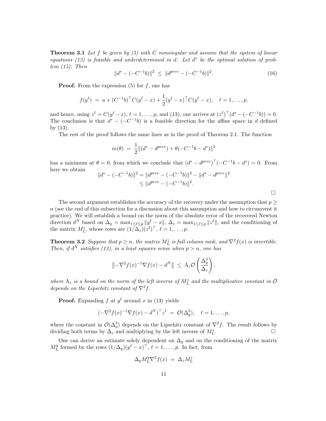**Theorem 3.1** Let f be given by  $(5)$  with C nonsingular and assume that the system of linear equations (13) is feasible and underdetermined in d. Let  $d^*$  be the optimal solution of problem  $(15)$ . Then

$$
||d^* - (-C^{-1}b)||^2 \le ||d^{prev} - (-C^{-1}b)||^2. \tag{16}
$$

**Proof.** From the expression  $(5)$  for f, one has

$$
f(y^{\ell}) = a + (C^{-1}b)^{\top}C(y^{\ell} - x) + \frac{1}{2}(y^{\ell} - x)^{\top}C(y^{\ell} - x), \quad \ell = 1, ..., p.
$$

and hence, using  $z^{\ell} = C(y^{\ell} - x)$ ,  $\ell = 1, \ldots, p$ , and (13), one arrives at  $(z^{\ell})^{\top} (d^* - (-C^{-1}b)) = 0$ . The conclusion is that  $d^* - (-C^{-1}b)$  is a feasible direction for the affine space in d defined by (13).

The rest of the proof follows the same lines as in the proof of Theorem 2.1. The function

$$
m(\theta) \ = \ \frac{1}{2} \|(d^* - d^{prev}) + \theta(-C^{-1}b - d^*)\|^2
$$

has a minimum at  $\theta = 0$ , from which we conclude that  $(d^* - d^{prev})^{\top}(-C^{-1}b - d^*) = 0$ . From here we obtain

$$
||d^* - (-C^{-1}b)||^2 = ||d^{prev} - (-C^{-1}b)||^2 - ||d^* - d^{prev}||^2
$$
  
\n
$$
\leq ||d^{prev} - (-C^{-1}b)||^2.
$$

The second argument establishes the accuracy of the recovery under the assumption that  $p \geq$  $n$  (see the end of this subsection for a discussion about this assumption and how to circumvent it practice). We will establish a bound on the norm of the absolute error of the recovered Newton direction  $d^N$  based on  $\Delta_y = \max_{1 \leq \ell \leq p} ||y_{\ell}^{\ell} - x||$ ,  $\Delta_z = \max_{1 \leq \ell \leq p} ||z^{\ell}||$ , and the conditioning of the matrix  $M_L^z$ , whose rows are  $(1/\Delta_z)(z^{\ell})^{\top}$ ,  $\ell = 1, \ldots, p$ .

**Theorem 3.2** Suppose that  $p \ge n$ , the matrix  $M_L^z$  is full column rank, and  $\nabla^2 f(x)$  is invertible. Then, if  $d^N$  satisfies (13), in a least squares sense when  $p > n$ , one has

$$
\left\|-\nabla^2 f(x)^{-1}\nabla f(x)-d^N\right\| \ \leq \ \Lambda_z \mathcal{O}\left(\frac{\Delta_y^3}{\Delta_z}\right),
$$

where  $\Lambda_z$  is a bound on the norm of the left inverse of  $M_L^z$  and the multiplicative constant in  $\mathcal O$ depends on the Lipschitz constant of  $\nabla^2 f$ .

**Proof.** Expanding f at  $y^{\ell}$  around x in (13) yields

$$
(-\nabla^2 f(x)^{-1} \nabla f(x) - d^N)^{\top} z^{\ell} = \mathcal{O}(\Delta_y^3), \quad \ell = 1, \dots, p,
$$

where the constant in  $\mathcal{O}(\Delta_y^3)$  depends on the Lipschitz constant of  $\nabla^2 f$ . The result follows by dividing both terms by  $\Delta_z$  and multiplying by the left inverse of  $M_L^z$ .

One can derive an estimate solely dependent on  $\Delta_y$  and on the conditioning of the matrix  $M_L^y$  $L^y$  formed by the rows  $(1/\Delta_y)(y^{\ell}-x)^{\top}$ ,  $\ell=1,\ldots,p$ . In fact, from

$$
\Delta_y M_L^y \nabla^2 f(x) = \Delta_z M_L^z
$$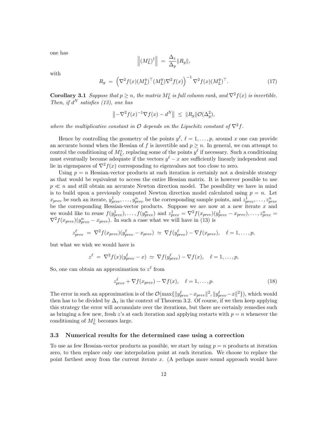one has

$$
\left\| \left( M_L^z \right)^{\dagger} \right\| \ = \ \frac{\Delta_z}{\Delta_y} \| R_y \|,
$$

with

$$
R_y = \left(\nabla^2 f(x) (M_L^y)^\top (M_L^y) \nabla^2 f(x)\right)^{-1} \nabla^2 f(x) (M_L^y)^\top. \tag{17}
$$

**Corollary 3.1** Suppose that  $p \ge n$ , the matrix  $M_L^z$  is full column rank, and  $\nabla^2 f(x)$  is invertible. Then, if  $d^N$  satisfies (13), one has

$$
\left\|-\nabla^2 f(x)^{-1}\nabla f(x)-d^N\right\| \leq \|R_y\|\mathcal{O}(\Delta_y^2),
$$

where the multiplicative constant in O depends on the Lipschitz constant of  $\nabla^2 f$ .

Hence by controlling the geometry of the points  $y^{\ell}$ ,  $\ell = 1, \ldots, p$ , around x one can provide an accurate bound when the Hessian of f is invertible and  $p \geq n$ . In general, we can attempt to control the conditioning of  $M_L^z$ , replacing some of the points  $y^{\ell}$  if necessary. Such a conditioning must eventually become adequate if the vectors  $y^{\ell} - x$  are sufficiently linearly independent and lie in eigenspaces of  $\nabla^2 f(x)$  corresponding to eigenvalues not too close to zero.

Using  $p = n$  Hessian-vector products at each iteration is certainly not a desirable strategy as that would be equivalent to access the entire Hessian matrix. It is however possible to use  $p \ll n$  and still obtain an accurate Newton direction model. The possibility we have in mind is to build upon a previously computed Newton direction model calculated using  $p = n$ . Let  $x_{prev}$  be such an iterate,  $y_{prev}^1, \ldots, y_{prev}^n$  be the corresponding sample points, and  $z_{prev}^1, \ldots, z_{prev}^n$ be the corresponding Hessian-vector products. Suppose we are now at a new iterate  $x$  and we would like to reuse  $f(y_{prev}^1), \ldots, f(y_{prev}^n)$  and  $z_{prev}^1 = \nabla^2 f(x_{prev}) (y_{prev}^1 - x_{prev}), \ldots, z_{prev}^n =$  $\nabla^2 f(x_{prev})(y_{prev}^n - x_{prev})$ . In such a case what we will have in (13) is

$$
z_{prev}^{\ell} = \nabla^2 f(x_{prev}) (y_{prev}^{\ell} - x_{prev}) \simeq \nabla f(y_{prev}^{\ell}) - \nabla f(x_{prev}), \quad \ell = 1, ..., p,
$$

but what we wish we would have is

$$
z^{\ell} = \nabla^2 f(x) (y_{prev}^{\ell} - x) \simeq \nabla f(y_{prev}^{\ell}) - \nabla f(x), \quad \ell = 1, ..., p,
$$

So, one can obtain an approximation to  $z^{\ell}$  from

$$
z_{prev}^{\ell} + \nabla f(x_{prev}) - \nabla f(x), \quad \ell = 1, \dots, p. \tag{18}
$$

The error in such an approximation is of the  $\mathcal{O}(\max\{\|y_{prev}^{\ell} - x_{prev}\|^2, \|y_{prev}^{\ell} - x\|^2\})$ , which would then has to be divided by  $\Delta_z$  in the context of Theorem 3.2. Of course, if we then keep applying this strategy the error will accumulate over the iterations, but there are certainly remedies such as bringing a few new, fresh z's at each iteration and applying restarts with  $p = n$  whenever the conditioning of  $M_L^z$  becomes large.

#### 3.3 Numerical results for the determined case using a correction

To use as few Hessian-vector products as possible, we start by using  $p = n$  products at iteration zero, to then replace only one interpolation point at each iteration. We choose to replace the point farthest away from the current iterate x. (A perhaps more sound approach would have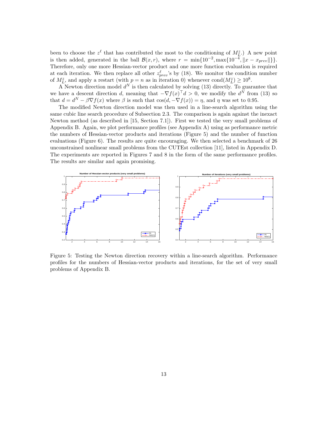been to choose the  $z^{\ell}$  that has contributed the most to the conditioning of  $M_{\tilde{L}}^z$ .) A new point is then added, generated in the ball  $\mathcal{B}(x,r)$ , where  $r = \min\{10^{-2}, \max\{10^{-4}, ||x - x_{prev}||\}\}.$ Therefore, only one more Hessian-vector product and one more function evaluation is required at each iteration. We then replace all other  $z_{prev}^{\ell}$ 's by (18). We monitor the condition number of  $M_L^z$ , and apply a restart (with  $p = n$  as in iteration 0) whenever cond $(M_L^z) \ge 10^8$ .

A Newton direction model  $d^N$  is then calculated by solving (13) directly. To guarantee that we have a descent direction d, meaning that  $-\nabla f(x)^\top d > 0$ , we modify the  $d^N$  from (13) so that  $d = d^N - \beta \nabla f(x)$  where  $\beta$  is such that  $\cos(d, -\nabla f(x)) = \eta$ , and  $\eta$  was set to 0.95.

The modified Newton direction model was then used in a line-search algorithm using the same cubic line search procedure of Subsection 2.3. The comparison is again against the inexact Newton method (as described in [15, Section 7.1]). First we tested the very small problems of Appendix B. Again, we plot performance profiles (see Appendix A) using as performance metric the numbers of Hessian-vector products and iterations (Figure 5) and the number of function evaluations (Figure 6). The results are quite encouraging. We then selected a benchmark of 26 unconstrained nonlinear small problems from the CUTEst collection [11], listed in Appendix D. The experiments are reported in Figures 7 and 8 in the form of the same performance profiles. The results are similar and again promising.



Figure 5: Testing the Newton direction recovery within a line-search algorithm. Performance profiles for the numbers of Hessian-vector products and iterations, for the set of very small problems of Appendix B.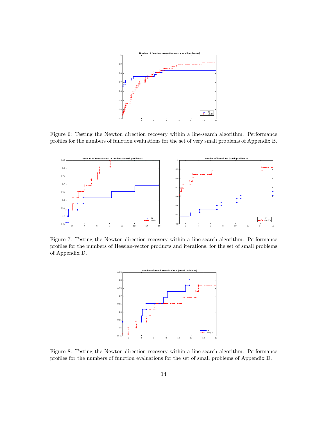

Figure 6: Testing the Newton direction recovery within a line-search algorithm. Performance profiles for the numbers of function evaluations for the set of very small problems of Appendix B.



Figure 7: Testing the Newton direction recovery within a line-search algorithm. Performance profiles for the numbers of Hessian-vector products and iterations, for the set of small problems of Appendix D.



Figure 8: Testing the Newton direction recovery within a line-search algorithm. Performance profiles for the numbers of function evaluations for the set of small problems of Appendix D.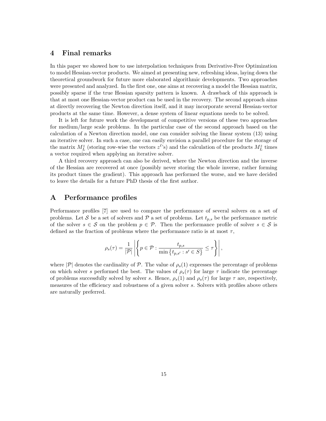### 4 Final remarks

In this paper we showed how to use interpolation techniques from Derivative-Free Optimization to model Hessian-vector products. We aimed at presenting new, refreshing ideas, laying down the theoretical groundwork for future more elaborated algorithmic developments. Two approaches were presented and analyzed. In the first one, one aims at recovering a model the Hessian matrix, possibly sparse if the true Hessian sparsity pattern is known. A drawback of this approach is that at most one Hessian-vector product can be used in the recovery. The second approach aims at directly recovering the Newton direction itself, and it may incorporate several Hessian-vector products at the same time. However, a dense system of linear equations needs to be solved.

It is left for future work the development of competitive versions of these two approaches for medium/large scale problems. In the particular case of the second approach based on the calculation of a Newton direction model, one can consider solving the linear system (13) using an iterative solver. In such a case, one can easily envision a parallel procedure for the storage of the matrix  $M^z_L$  (storing row-wise the vectors  $z^{\ell}$ 's) and the calculation of the products  $M^z_L$  times a vector required when applying an iterative solver.

A third recovery approach can also be derived, where the Newton direction and the inverse of the Hessian are recovered at once (possibly never storing the whole inverse, rather forming its product times the gradient). This approach has performed the worse, and we have decided to leave the details for a future PhD thesis of the first author.

## A Performance profiles

Performance profiles [7] are used to compare the performance of several solvers on a set of problems. Let S be a set of solvers and P a set of problems. Let  $t_{p,s}$  be the performance metric of the solver  $s \in \mathcal{S}$  on the problem  $p \in \mathcal{P}$ . Then the performance profile of solver  $s \in \mathcal{S}$  is defined as the fraction of problems where the performance ratio is at most  $\tau$ ,

$$
\rho_s(\tau) = \frac{1}{|\mathcal{P}|} \left| \left\{ p \in \mathcal{P} : \frac{t_{p,s}}{\min\left\{ t_{p,s'} : s' \in S \right\}} \leq \tau \right\} \right|,
$$

where  $|\mathcal{P}|$  denotes the cardinality of  $\mathcal{P}$ . The value of  $\rho_s(1)$  expresses the percentage of problems on which solver s performed the best. The values of  $\rho_s(\tau)$  for large  $\tau$  indicate the percentage of problems successfully solved by solver s. Hence,  $\rho_s(1)$  and  $\rho_s(\tau)$  for large  $\tau$  are, respectively, measures of the efficiency and robustness of a given solver s. Solvers with profiles above others are naturally preferred.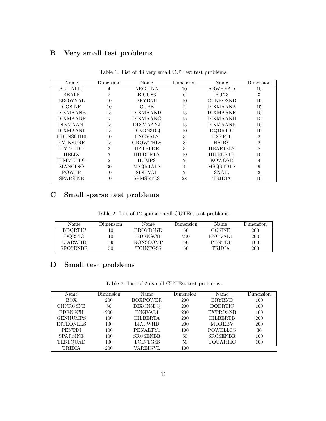## B Very small test problems

| Name            | Dimension      | Name                | Dimension      | Name            | Dimension      |
|-----------------|----------------|---------------------|----------------|-----------------|----------------|
| ALLINITU        | $\overline{4}$ | ARGLINA             | 10             | ARWHEAD         | 10             |
| <b>BEALE</b>    | 2              | BIGGS6              | 6              | BOX3            | 3              |
| <b>BROWNAL</b>  | 10             | <b>BRYBND</b>       | 10             | <b>CHNROSNB</b> | 10             |
| <b>COSINE</b>   | 10             | CUBE                | $\overline{2}$ | DIXMA ANA       | 15             |
| DIXMAANB        | 15             | <b>DIXMAAND</b>     | 15             | DIXMAANE        | 15             |
| <b>DIXMAANF</b> | 15             | DIXMAANG            | 15             | DIXMAANH        | 15             |
| DIXMAANI        | 15             | DIXMAANJ            | 15             | DIXMAANK        | 15             |
| <b>DIXMAANL</b> | 15             | DIXON3DQ            | 10             | DQDRTIC         | 10             |
| EDENSCH10       | 10             | ENGVAL <sub>2</sub> | 3              | <b>EXPFIT</b>   | $\overline{2}$ |
| <b>FMINSURF</b> | 15             | <b>GROWTHLS</b>     | 3              | HAIRY           | $\mathfrak{D}$ |
| <b>HATFLDD</b>  | 3              | <b>HATFLDE</b>      | 3              | <b>HEART8LS</b> | 8              |
| <b>HELIX</b>    | 3              | <b>HILBERTA</b>     | 10             | <b>HILBERTB</b> | 10             |
| <b>HIMMELBG</b> | $\overline{2}$ | HUMPS               | $\overline{2}$ | <b>KOWOSB</b>   | 4              |
| <b>MANCINO</b>  | 30             | <b>MSQRTALS</b>     | 4              | <b>MSQRTBLS</b> | 9              |
| <b>POWER</b>    | 10             | SINEVAL             | 2              | <b>SNAIL</b>    | 2              |
| SPARSINE        | 10             | SPMSRTLS            | 28             | TRIDIA          | 10             |

Table 1: List of 48 very small CUTEst test problems.

## C Small sparse test problems

Table 2: List of 12 sparse small CUTEst test problems.

| Name           | Dimension | Name            | Dimension | Name          | Dimension  |
|----------------|-----------|-----------------|-----------|---------------|------------|
| <b>BDORTIC</b> | 10        | BROYDN7D        | 50        | COSINE        | <b>200</b> |
| <b>DORTIC</b>  | 10        | <b>EDENSCH</b>  | 200       | ENGVAL1       | <b>200</b> |
| LIARWHD        | 100       | <b>NONSCOMP</b> | 50        | <b>PENTDI</b> | 100        |
| SROSENBR.      | 50        | <b>TOINTGSS</b> | 50        | TRIDIA        | <b>200</b> |

## D Small test problems

| Table 3: List of 26 small CUTEst test problems. |  |
|-------------------------------------------------|--|
|-------------------------------------------------|--|

| Name             | Dimension  | Name            | Dimension  | Name            | Dimension |
|------------------|------------|-----------------|------------|-----------------|-----------|
| BOX.             | <b>200</b> | <b>BOXPOWER</b> | <b>200</b> | <b>BRYBND</b>   | 100       |
| <b>CHNROSNB</b>  | 50         | DIXON3DQ        | <b>200</b> | <b>DQDRTIC</b>  | 100       |
| <b>EDENSCH</b>   | 200        | ENGVAL1         | 200        | <b>EXTROSNB</b> | 100       |
| <b>GENHUMPS</b>  | 100        | <b>HILBERTA</b> | <b>200</b> | <b>HILBERTB</b> | 200       |
| <b>INTEQNELS</b> | 100        | <b>LIARWHD</b>  | <b>200</b> | <b>MOREBV</b>   | 200       |
| <b>PENTDI</b>    | 100        | PENALTY1        | 100        | <b>POWELLSG</b> | 36        |
| <b>SPARSINE</b>  | 100        | <b>SROSENBR</b> | 50         | <b>SROSENBR</b> | 100       |
| TESTQUAD         | 100        | <b>TOINTGSS</b> | 50         | TQUARTIC        | 100       |
| <b>TRIDIA</b>    | <b>200</b> | VAREIGVL        | 100        |                 |           |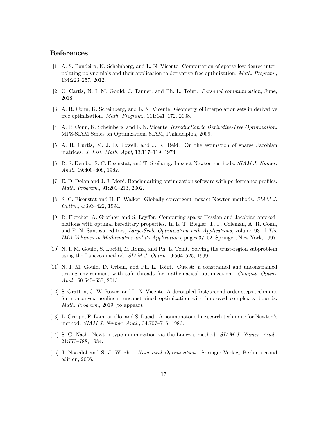## References

- [1] A. S. Bandeira, K. Scheinberg, and L. N. Vicente. Computation of sparse low degree interpolating polynomials and their application to derivative-free optimization. Math. Program., 134:223–257, 2012.
- [2] C. Cartis, N. I. M. Gould, J. Tanner, and Ph. L. Toint. Personal communication, June, 2018.
- [3] A. R. Conn, K. Scheinberg, and L. N. Vicente. Geometry of interpolation sets in derivative free optimization. Math. Program., 111:141–172, 2008.
- [4] A. R. Conn, K. Scheinberg, and L. N. Vicente. Introduction to Derivative-Free Optimization. MPS-SIAM Series on Optimization. SIAM, Philadelphia, 2009.
- [5] A. R. Curtis, M. J. D. Powell, and J. K. Reid. On the estimation of sparse Jacobian matrices. J. Inst. Math. Appl, 13:117–119, 1974.
- [6] R. S. Dembo, S. C. Eisenstat, and T. Steihaug. Inexact Newton methods. SIAM J. Numer. Anal., 19:400–408, 1982.
- [7] E. D. Dolan and J. J. Moré. Benchmarking optimization software with performance profiles. Math. Program., 91:201–213, 2002.
- [8] S. C. Eisenstat and H. F. Walker. Globally convergent inexact Newton methods. SIAM J. Optim., 4:393–422, 1994.
- [9] R. Fletcher, A. Grothey, and S. Leyffer. Computing sparse Hessian and Jacobian approximations with optimal hereditary properties. In L. T. Biegler, T. F. Coleman, A. R. Conn, and F. N. Santosa, editors, Large-Scale Optimization with Applications, volume 93 of The IMA Volumes in Mathematics and its Applications, pages 37–52. Springer, New York, 1997.
- [10] N. I. M. Gould, S. Lucidi, M Roma, and Ph. L. Toint. Solving the trust-region subproblem using the Lanczos method. SIAM J. Optim., 9:504–525, 1999.
- [11] N. I. M. Gould, D. Orban, and Ph. L. Toint. Cutest: a constrained and unconstrained testing environment with safe threads for mathematical optimization. Comput. Optim. Appl., 60:545–557, 2015.
- [12] S. Gratton, C. W. Royer, and L. N. Vicente. A decoupled first/second-order steps technique for nonconvex nonlinear unconstrained optimization with improved complexity bounds. Math. Program., 2019 (to appear).
- [13] L. Grippo, F. Lampariello, and S. Lucidi. A nonmonotone line search technique for Newton's method. SIAM J. Numer. Anal., 34:707–716, 1986.
- [14] S. G. Nash. Newton-type minimization via the Lanczos method. SIAM J. Numer. Anal., 21:770–788, 1984.
- [15] J. Nocedal and S. J. Wright. Numerical Optimization. Springer-Verlag, Berlin, second edition, 2006.